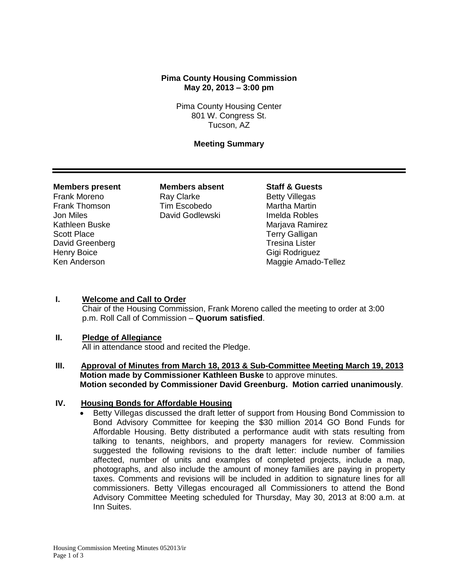# **Pima County Housing Commission May 20, 2013 – 3:00 pm**

Pima County Housing Center 801 W. Congress St. Tucson, AZ

# **Meeting Summary**

#### **Members present Members absent Staff & Guests**

Scott Place Terry Galligan David Greenberg Tresina Lister Henry Boice Gigi Rodriguez

Frank Moreno **Ray Clarke** Betty Villegas Frank Thomson Tim Escobedo Martha Martin Jon Miles David Godlewski Imelda Robles

Kathleen Buske Mariava Ramirez Ken Anderson Maggie Amado-Tellez

### **I. Welcome and Call to Order**

Chair of the Housing Commission, Frank Moreno called the meeting to order at 3:00 p.m. Roll Call of Commission – **Quorum satisfied**.

### **II. Pledge of Allegiance**

All in attendance stood and recited the Pledge.

**III. Approval of Minutes from March 18, 2013 & Sub-Committee Meeting March 19, 2013 Motion made by Commissioner Kathleen Buske** to approve minutes. **Motion seconded by Commissioner David Greenburg. Motion carried unanimously**.

## **IV. Housing Bonds for Affordable Housing**

 Betty Villegas discussed the draft letter of support from Housing Bond Commission to Bond Advisory Committee for keeping the \$30 million 2014 GO Bond Funds for Affordable Housing. Betty distributed a performance audit with stats resulting from talking to tenants, neighbors, and property managers for review. Commission suggested the following revisions to the draft letter: include number of families affected, number of units and examples of completed projects, include a map, photographs, and also include the amount of money families are paying in property taxes. Comments and revisions will be included in addition to signature lines for all commissioners. Betty Villegas encouraged all Commissioners to attend the Bond Advisory Committee Meeting scheduled for Thursday, May 30, 2013 at 8:00 a.m. at Inn Suites.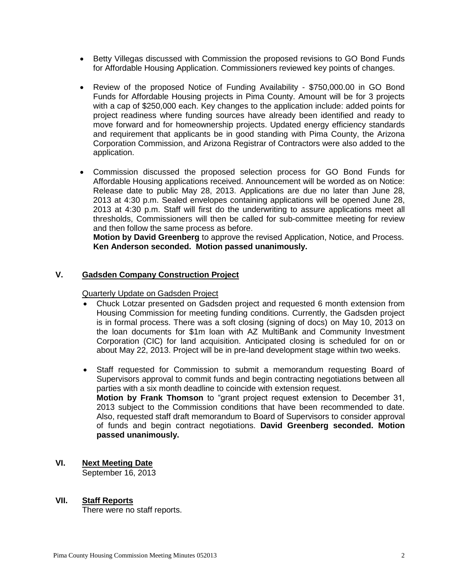- Betty Villegas discussed with Commission the proposed revisions to GO Bond Funds for Affordable Housing Application. Commissioners reviewed key points of changes.
- Review of the proposed Notice of Funding Availability \$750,000.00 in GO Bond Funds for Affordable Housing projects in Pima County. Amount will be for 3 projects with a cap of \$250,000 each. Key changes to the application include: added points for project readiness where funding sources have already been identified and ready to move forward and for homeownership projects. Updated energy efficiency standards and requirement that applicants be in good standing with Pima County, the Arizona Corporation Commission, and Arizona Registrar of Contractors were also added to the application.
- Commission discussed the proposed selection process for GO Bond Funds for Affordable Housing applications received. Announcement will be worded as on Notice: Release date to public May 28, 2013. Applications are due no later than June 28, 2013 at 4:30 p.m. Sealed envelopes containing applications will be opened June 28, 2013 at 4:30 p.m. Staff will first do the underwriting to assure applications meet all thresholds, Commissioners will then be called for sub-committee meeting for review and then follow the same process as before.

**Motion by David Greenberg** to approve the revised Application, Notice, and Process. **Ken Anderson seconded. Motion passed unanimously.**

# **V. Gadsden Company Construction Project**

Quarterly Update on Gadsden Project

- Chuck Lotzar presented on Gadsden project and requested 6 month extension from Housing Commission for meeting funding conditions. Currently, the Gadsden project is in formal process. There was a soft closing (signing of docs) on May 10, 2013 on the loan documents for \$1m loan with AZ MultiBank and Community Investment Corporation (CIC) for land acquisition. Anticipated closing is scheduled for on or about May 22, 2013. Project will be in pre-land development stage within two weeks.
- Staff requested for Commission to submit a memorandum requesting Board of Supervisors approval to commit funds and begin contracting negotiations between all parties with a six month deadline to coincide with extension request. **Motion by Frank Thomson** to "grant project request extension to December 31, 2013 subject to the Commission conditions that have been recommended to date. Also, requested staff draft memorandum to Board of Supervisors to consider approval of funds and begin contract negotiations. **David Greenberg seconded. Motion passed unanimously.**
- **VI. Next Meeting Date**

September 16, 2013

# **VII. Staff Reports**

There were no staff reports.